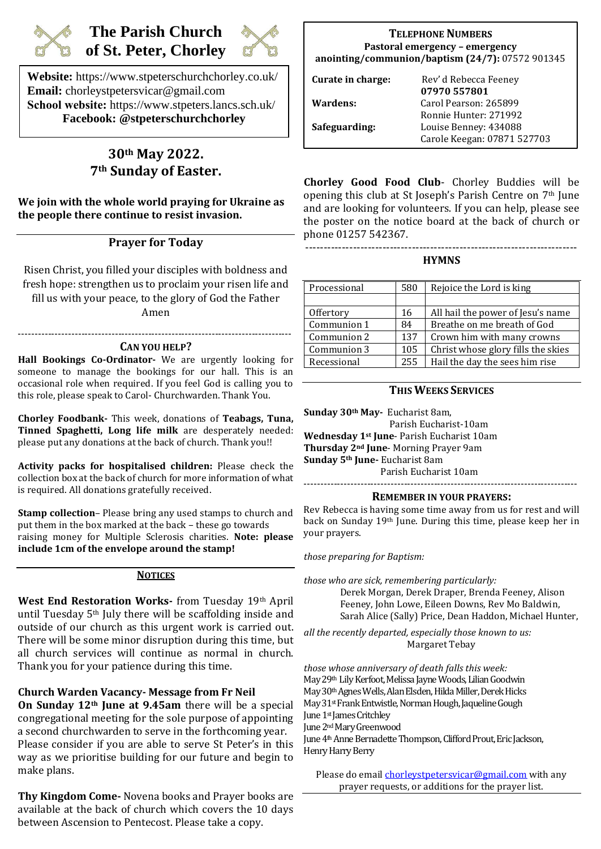

# **The Parish Church of St. Peter, Chorley**



**Website:** https://www.stpeterschurchchorley.co.uk/ **Email:** chorleystpetersvicar@gmail.com **School website:** https://www.stpeters.lancs.sch.uk/ **Facebook: @stpeterschurchchorley**

# **30th May 2022. 7th Sunday of Easter.**

**We join with the whole world praying for Ukraine as the people there continue to resist invasion.**

# **Prayer for Today**

Risen Christ, you filled your disciples with boldness and fresh hope: strengthen us to proclaim your risen life and fill us with your peace, to the glory of God the Father

Amen

### ---------------------------------------------------------------------------------- **CAN YOU HELP?**

**Hall Bookings Co-Ordinator-** We are urgently looking for someone to manage the bookings for our hall. This is an occasional role when required. If you feel God is calling you to this role, please speak to Carol- Churchwarden. Thank You.

**Chorley Foodbank-** This week, donations of **Teabags, Tuna, Tinned Spaghetti, Long life milk** are desperately needed: please put any donations at the back of church. Thank you!!

**Activity packs for hospitalised children:** Please check the collection box at the back of church for more information of what is required. All donations gratefully received.

**Stamp collection**– Please bring any used stamps to church and put them in the box marked at the back – these go towards raising money for Multiple Sclerosis charities. **Note: please include 1cm of the envelope around the stamp!**

## **NOTICES**

**West End Restoration Works-** from Tuesday 19th April until Tuesday 5th July there will be scaffolding inside and outside of our church as this urgent work is carried out. There will be some minor disruption during this time, but all church services will continue as normal in church. Thank you for your patience during this time.

**Church Warden Vacancy- Message from Fr Neil**

**On Sunday 12th June at 9.45am** there will be a special congregational meeting for the sole purpose of appointing a second churchwarden to serve in the forthcoming year. Please consider if you are able to serve St Peter's in this way as we prioritise building for our future and begin to make plans.

**Thy Kingdom Come-** Novena books and Prayer books are available at the back of church which covers the 10 days between Ascension to Pentecost. Please take a copy.

# **TELEPHONE NUMBERS Pastoral emergency – emergency anointing/communion/baptism (24/7):** 07572 901345

| Curate in charge: | Rev' d Rebecca Feeney<br>07970 557801 |
|-------------------|---------------------------------------|
| Wardens:          | Carol Pearson: 265899                 |
|                   | Ronnie Hunter: 271992                 |
| Safeguarding:     | Louise Benney: 434088                 |
|                   | Carole Keegan: 07871 527703           |

**Chorley Good Food Club**- Chorley Buddies will be opening this club at St Joseph's Parish Centre on 7th June and are looking for volunteers. If you can help, please see the poster on the notice board at the back of church or phone 01257 542367.

#### -------------------------------------------------------------------------- **HYMNS**

| Processional | 580 | Rejoice the Lord is king           |
|--------------|-----|------------------------------------|
|              |     |                                    |
| Offertory    | 16  | All hail the power of Jesu's name  |
| Communion 1  | 84  | Breathe on me breath of God        |
| Communion 2  | 137 | Crown him with many crowns         |
| Communion 3  | 105 | Christ whose glory fills the skies |
| Recessional  | 255 | Hail the day the sees him rise     |
|              |     |                                    |

# **THIS WEEKS SERVICES**

**Sunday 30th May-** Eucharist 8am, Parish Eucharist-10am **Wednesday 1st June**- Parish Eucharist 10am **Thursday 2nd June**- Morning Prayer 9am **Sunday 5th June-** Eucharist 8am Parish Eucharist 10am

## **REMEMBER IN YOUR PRAYERS:**

Rev Rebecca is having some time away from us for rest and will back on Sunday 19th June. During this time, please keep her in your prayers.

*those preparing for Baptism:* 

*those who are sick, remembering particularly:* 

Derek Morgan, Derek Draper, Brenda Feeney, Alison Feeney, John Lowe, Eileen Downs, Rev Mo Baldwin, Sarah Alice (Sally) Price, Dean Haddon, Michael Hunter,

*all the recently departed, especially those known to us:* Margaret Tebay

*those whose anniversary of death falls this week:* May 29<sup>th</sup> Lily Kerfoot, Melissa Jayne Woods, Lilian Goodwin May 30<sup>th</sup> Agnes Wells, Alan Elsden, Hilda Miller, Derek Hicks May 31<sup>st</sup> Frank Entwistle, Norman Hough, Jaqueline Gough June 1<sup>st</sup> James Critchley June 2<sup>nd</sup> Mary Greenwood June 4<sup>th</sup> Anne Bernadette Thompson, Clifford Prout, Eric Jackson, Henry Harry Berry

Please do email chorleystpetersvicar@gmail.com with any prayer requests, or additions for the prayer list.